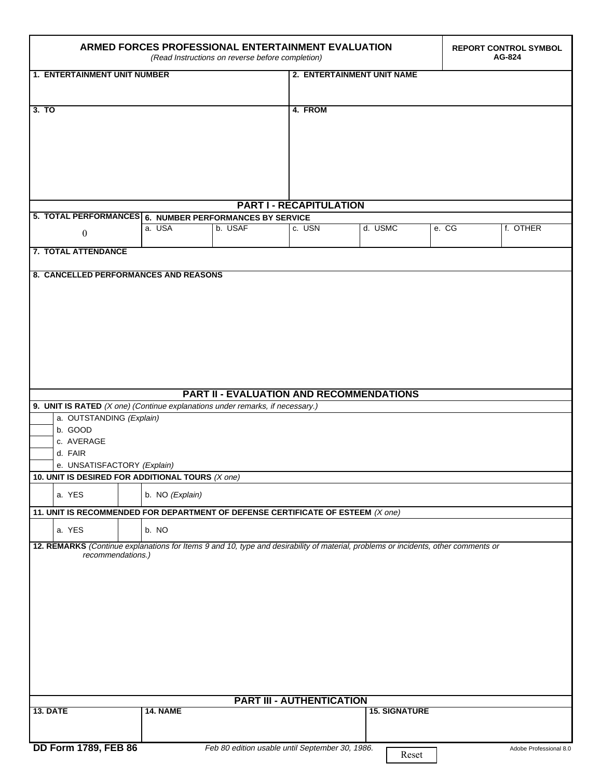| ARMED FORCES PROFESSIONAL ENTERTAINMENT EVALUATION<br>(Read Instructions on reverse before completion)                                                  |                             |                                                 |        |                      |       | <b>REPORT CONTROL SYMBOL</b><br>AG-824 |  |
|---------------------------------------------------------------------------------------------------------------------------------------------------------|-----------------------------|-------------------------------------------------|--------|----------------------|-------|----------------------------------------|--|
| <b>1. ENTERTAINMENT UNIT NUMBER</b>                                                                                                                     |                             | 2. ENTERTAINMENT UNIT NAME                      |        |                      |       |                                        |  |
|                                                                                                                                                         |                             |                                                 |        |                      |       |                                        |  |
| 3. TO                                                                                                                                                   |                             | 4. FROM                                         |        |                      |       |                                        |  |
|                                                                                                                                                         |                             |                                                 |        |                      |       |                                        |  |
|                                                                                                                                                         |                             |                                                 |        |                      |       |                                        |  |
|                                                                                                                                                         |                             |                                                 |        |                      |       |                                        |  |
|                                                                                                                                                         |                             |                                                 |        |                      |       |                                        |  |
| <b>PART I - RECAPITULATION</b>                                                                                                                          |                             |                                                 |        |                      |       |                                        |  |
| 5. TOTAL PERFORMANCES 6. NUMBER PERFORMANCES BY SERVICE                                                                                                 |                             |                                                 |        |                      |       |                                        |  |
| $\theta$                                                                                                                                                | a. USA                      | b. USAF                                         | c. USN | d. USMC              | e. CG | f. OTHER                               |  |
| 7. TOTAL ATTENDANCE                                                                                                                                     |                             |                                                 |        |                      |       |                                        |  |
| 8. CANCELLED PERFORMANCES AND REASONS                                                                                                                   |                             |                                                 |        |                      |       |                                        |  |
|                                                                                                                                                         |                             |                                                 |        |                      |       |                                        |  |
|                                                                                                                                                         |                             |                                                 |        |                      |       |                                        |  |
|                                                                                                                                                         |                             |                                                 |        |                      |       |                                        |  |
|                                                                                                                                                         |                             |                                                 |        |                      |       |                                        |  |
|                                                                                                                                                         |                             |                                                 |        |                      |       |                                        |  |
|                                                                                                                                                         |                             |                                                 |        |                      |       |                                        |  |
|                                                                                                                                                         |                             |                                                 |        |                      |       |                                        |  |
| <b>PART II - EVALUATION AND RECOMMENDATIONS</b><br>9. UNIT IS RATED $(X \text{ one})$ (Continue explanations under remarks, if necessary.)              |                             |                                                 |        |                      |       |                                        |  |
| a. OUTSTANDING (Explain)                                                                                                                                |                             |                                                 |        |                      |       |                                        |  |
| b. GOOD<br>c. AVERAGE                                                                                                                                   |                             |                                                 |        |                      |       |                                        |  |
| d. FAIR                                                                                                                                                 |                             |                                                 |        |                      |       |                                        |  |
|                                                                                                                                                         | e. UNSATISFACTORY (Explain) |                                                 |        |                      |       |                                        |  |
| 10. UNIT IS DESIRED FOR ADDITIONAL TOURS $(X \text{ one})$                                                                                              |                             |                                                 |        |                      |       |                                        |  |
| a. YES<br>b. NO (Explain)                                                                                                                               |                             |                                                 |        |                      |       |                                        |  |
| 11. UNIT IS RECOMMENDED FOR DEPARTMENT OF DEFENSE CERTIFICATE OF ESTEEM (X one)                                                                         |                             |                                                 |        |                      |       |                                        |  |
| a. YES                                                                                                                                                  | b. NO                       |                                                 |        |                      |       |                                        |  |
| 12. REMARKS (Continue explanations for Items 9 and 10, type and desirability of material, problems or incidents, other comments or<br>recommendations.) |                             |                                                 |        |                      |       |                                        |  |
|                                                                                                                                                         |                             |                                                 |        |                      |       |                                        |  |
|                                                                                                                                                         |                             |                                                 |        |                      |       |                                        |  |
|                                                                                                                                                         |                             |                                                 |        |                      |       |                                        |  |
|                                                                                                                                                         |                             |                                                 |        |                      |       |                                        |  |
|                                                                                                                                                         |                             |                                                 |        |                      |       |                                        |  |
|                                                                                                                                                         |                             |                                                 |        |                      |       |                                        |  |
|                                                                                                                                                         |                             |                                                 |        |                      |       |                                        |  |
|                                                                                                                                                         |                             |                                                 |        |                      |       |                                        |  |
| <b>PART III - AUTHENTICATION</b>                                                                                                                        |                             |                                                 |        |                      |       |                                        |  |
| <b>13. DATE</b>                                                                                                                                         | <b>14. NAME</b>             |                                                 |        | <b>15. SIGNATURE</b> |       |                                        |  |
|                                                                                                                                                         |                             |                                                 |        |                      |       |                                        |  |
| <b>DD Form 1789, FEB 86</b>                                                                                                                             |                             | Feb 80 edition usable until September 30, 1986. |        | Reset                |       | Adobe Professional 8.0                 |  |